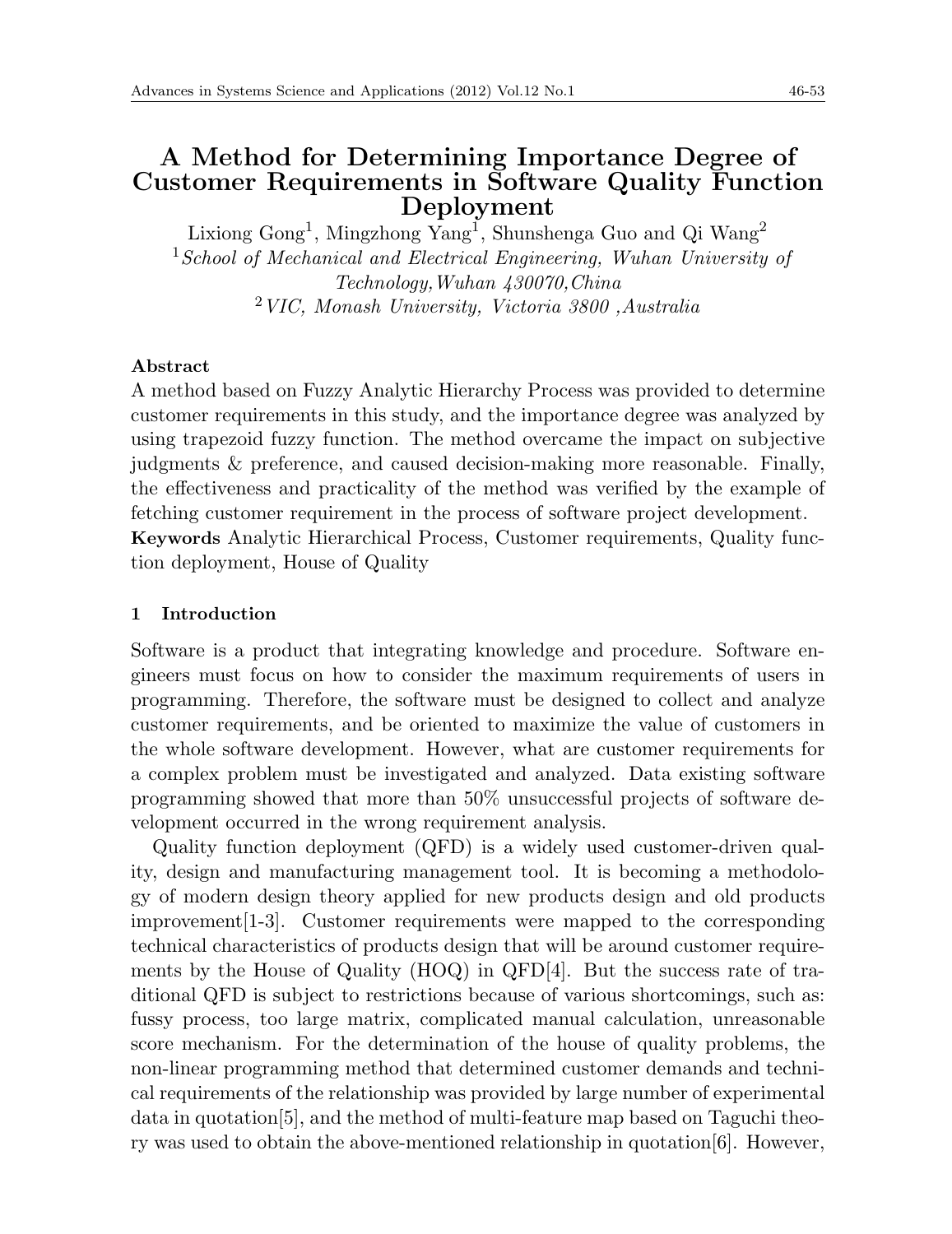# **A Method for Determining Importance Degree of Customer Requirements in Software Quality Function Deployment**

Lixiong Gong<sup>1</sup>, Mingzhong Yang<sup>1</sup>, Shunshenga Guo and Qi Wang<sup>2</sup> <sup>1</sup>*School of Mechanical and Electrical Engineering, Wuhan University of Technology,Wuhan 430070,China* <sup>2</sup>*VIC, Monash University, Victoria 3800 ,Australia*

### **Abstract**

A method based on Fuzzy Analytic Hierarchy Process was provided to determine customer requirements in this study, and the importance degree was analyzed by using trapezoid fuzzy function. The method overcame the impact on subjective judgments & preference, and caused decision-making more reasonable. Finally, the effectiveness and practicality of the method was verified by the example of fetching customer requirement in the process of software project development. **Keywords** Analytic Hierarchical Process, Customer requirements, Quality function deployment, House of Quality

# **1 Introduction**

Software is a product that integrating knowledge and procedure. Software engineers must focus on how to consider the maximum requirements of users in programming. Therefore, the software must be designed to collect and analyze customer requirements, and be oriented to maximize the value of customers in the whole software development. However, what are customer requirements for a complex problem must be investigated and analyzed. Data existing software programming showed that more than 50% unsuccessful projects of software development occurred in the wrong requirement analysis.

Quality function deployment (QFD) is a widely used customer-driven quality, design and manufacturing management tool. It is becoming a methodology of modern design theory applied for new products design and old products improvement[1-3]. Customer requirements were mapped to the corresponding technical characteristics of products design that will be around customer requirements by the House of Quality (HOQ) in QFD[4]. But the success rate of traditional QFD is subject to restrictions because of various shortcomings, such as: fussy process, too large matrix, complicated manual calculation, unreasonable score mechanism. For the determination of the house of quality problems, the non-linear programming method that determined customer demands and technical requirements of the relationship was provided by large number of experimental data in quotation[5], and the method of multi-feature map based on Taguchi theory was used to obtain the above-mentioned relationship in quotation[6]. However,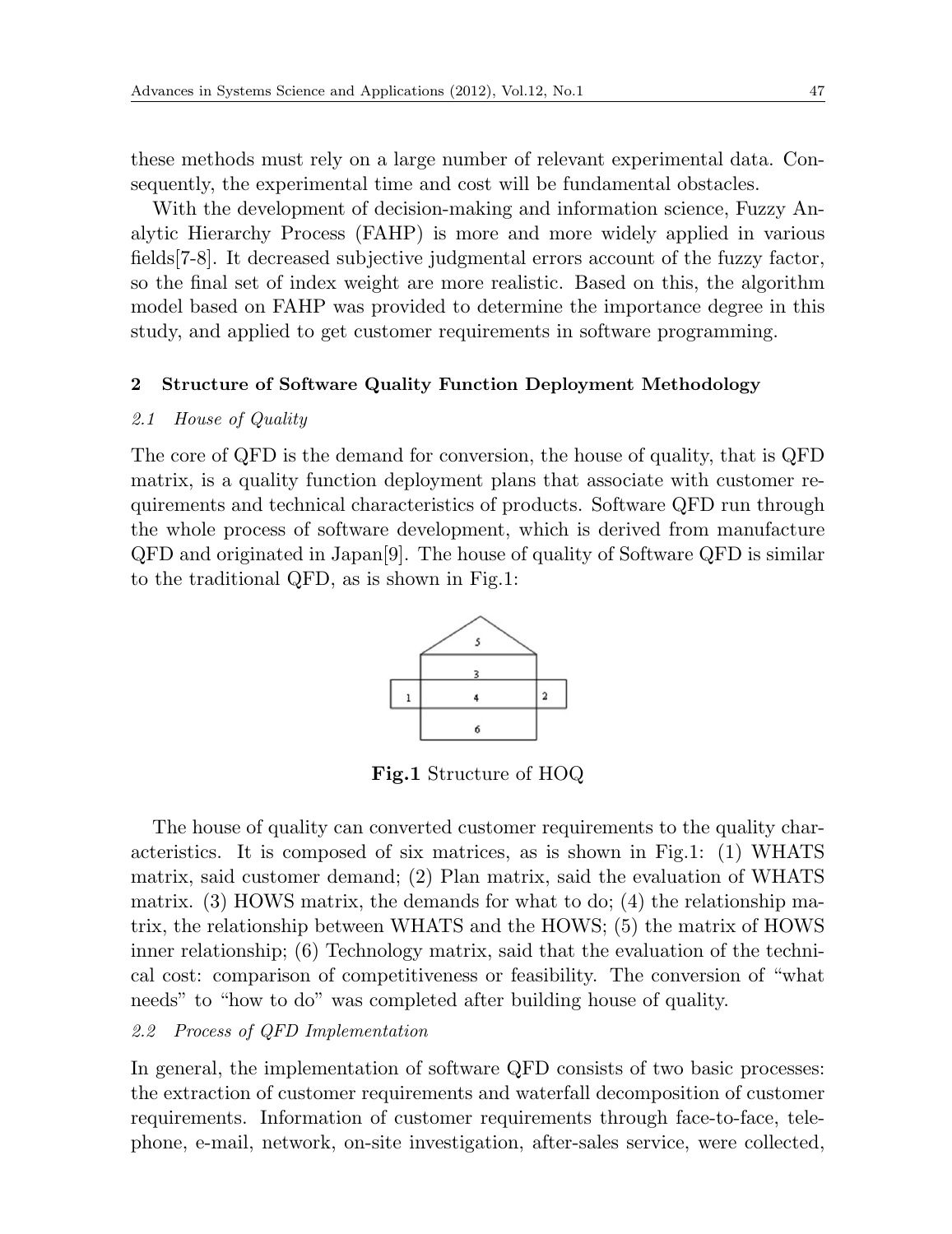these methods must rely on a large number of relevant experimental data. Consequently, the experimental time and cost will be fundamental obstacles.

With the development of decision-making and information science, Fuzzy Analytic Hierarchy Process (FAHP) is more and more widely applied in various fields[7-8]. It decreased subjective judgmental errors account of the fuzzy factor, so the final set of index weight are more realistic. Based on this, the algorithm model based on FAHP was provided to determine the importance degree in this study, and applied to get customer requirements in software programming.

# **2 Structure of Software Quality Function Deployment Methodology**

#### *2.1 House of Quality*

The core of QFD is the demand for conversion, the house of quality, that is QFD matrix, is a quality function deployment plans that associate with customer requirements and technical characteristics of products. Software QFD run through the whole process of software development, which is derived from manufacture QFD and originated in Japan[9]. The house of quality of Software QFD is similar to the traditional QFD, as is shown in Fig.1:



**Fig.1** Structure of HOQ

The house of quality can converted customer requirements to the quality characteristics. It is composed of six matrices, as is shown in Fig.1: (1) WHATS matrix, said customer demand; (2) Plan matrix, said the evaluation of WHATS matrix. (3) HOWS matrix, the demands for what to do; (4) the relationship matrix, the relationship between WHATS and the HOWS; (5) the matrix of HOWS inner relationship; (6) Technology matrix, said that the evaluation of the technical cost: comparison of competitiveness or feasibility. The conversion of "what needs" to "how to do" was completed after building house of quality.

## *2.2 Process of QFD Implementation*

In general, the implementation of software QFD consists of two basic processes: the extraction of customer requirements and waterfall decomposition of customer requirements. Information of customer requirements through face-to-face, telephone, e-mail, network, on-site investigation, after-sales service, were collected,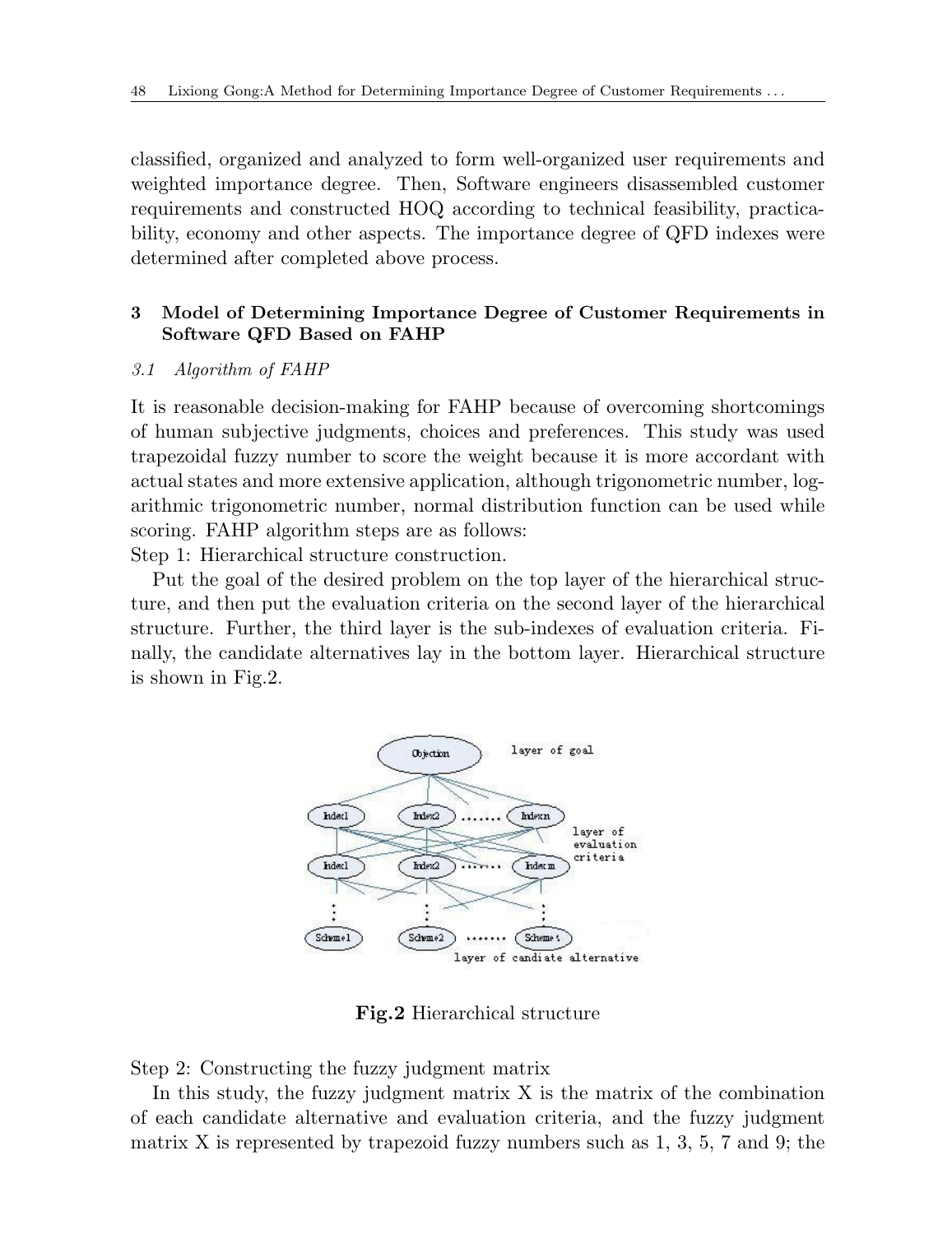classified, organized and analyzed to form well-organized user requirements and weighted importance degree. Then, Software engineers disassembled customer requirements and constructed HOQ according to technical feasibility, practicability, economy and other aspects. The importance degree of QFD indexes were determined after completed above process.

# **3 Model of Determining Importance Degree of Customer Requirements in Software QFD Based on FAHP**

#### *3.1 Algorithm of FAHP*

It is reasonable decision-making for FAHP because of overcoming shortcomings of human subjective judgments, choices and preferences. This study was used trapezoidal fuzzy number to score the weight because it is more accordant with actual states and more extensive application, although trigonometric number, logarithmic trigonometric number, normal distribution function can be used while scoring. FAHP algorithm steps are as follows:

Step 1: Hierarchical structure construction.

Put the goal of the desired problem on the top layer of the hierarchical structure, and then put the evaluation criteria on the second layer of the hierarchical structure. Further, the third layer is the sub-indexes of evaluation criteria. Finally, the candidate alternatives lay in the bottom layer. Hierarchical structure is shown in Fig.2.



**Fig.2** Hierarchical structure

Step 2: Constructing the fuzzy judgment matrix

In this study, the fuzzy judgment matrix  $X$  is the matrix of the combination of each candidate alternative and evaluation criteria, and the fuzzy judgment matrix X is represented by trapezoid fuzzy numbers such as  $1, 3, 5, 7$  and  $9$ ; the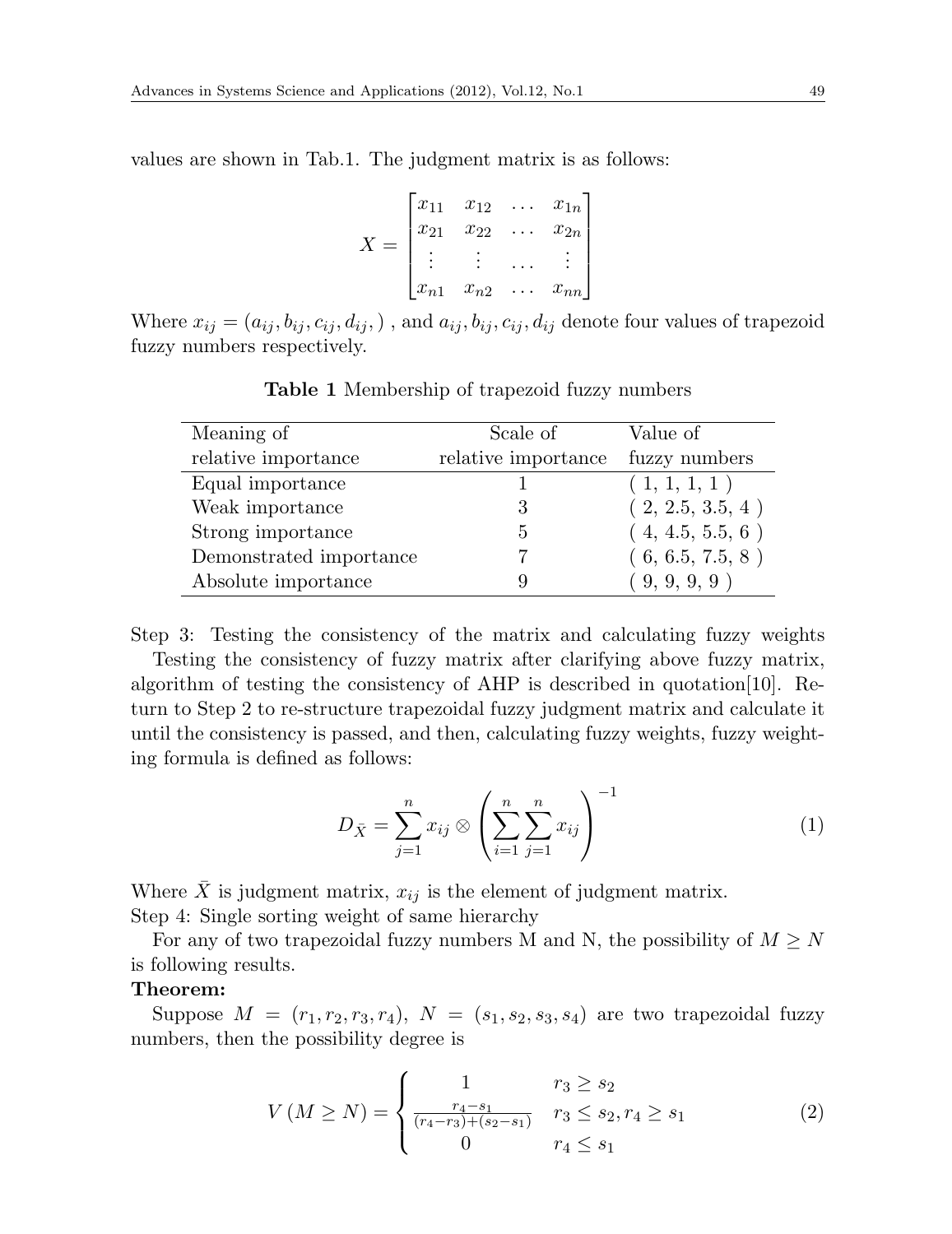values are shown in Tab.1. The judgment matrix is as follows:

$$
X = \begin{bmatrix} x_{11} & x_{12} & \dots & x_{1n} \\ x_{21} & x_{22} & \dots & x_{2n} \\ \vdots & \vdots & \dots & \vdots \\ x_{n1} & x_{n2} & \dots & x_{nn} \end{bmatrix}
$$

Where  $x_{ij} = (a_{ij}, b_{ij}, c_{ij}, d_{ij},)$ , and  $a_{ij}, b_{ij}, c_{ij}, d_{ij}$  denote four values of trapezoid fuzzy numbers respectively.

| Meaning of              | Scale of            | Value of         |
|-------------------------|---------------------|------------------|
| relative importance     | relative importance | fuzzy numbers    |
| Equal importance        |                     | (1, 1, 1, 1)     |
| Weak importance         | 3                   | (2, 2.5, 3.5, 4) |
| Strong importance       | 5                   | (4, 4.5, 5.5, 6) |
| Demonstrated importance |                     | (6, 6.5, 7.5, 8) |
| Absolute importance     | 9                   | (9, 9, 9, 9)     |

**Table 1** Membership of trapezoid fuzzy numbers

Step 3: Testing the consistency of the matrix and calculating fuzzy weights

Testing the consistency of fuzzy matrix after clarifying above fuzzy matrix, algorithm of testing the consistency of AHP is described in quotation[10]. Return to Step 2 to re-structure trapezoidal fuzzy judgment matrix and calculate it until the consistency is passed, and then, calculating fuzzy weights, fuzzy weighting formula is defined as follows:

$$
D_{\bar{X}} = \sum_{j=1}^{n} x_{ij} \otimes \left(\sum_{i=1}^{n} \sum_{j=1}^{n} x_{ij}\right)^{-1}
$$
 (1)

Where  $\bar{X}$  is judgment matrix,  $x_{ij}$  is the element of judgment matrix. Step 4: Single sorting weight of same hierarchy

For any of two trapezoidal fuzzy numbers M and N, the possibility of  $M \geq N$ is following results.

# **Theorem:**

Suppose  $M = (r_1, r_2, r_3, r_4)$ ,  $N = (s_1, s_2, s_3, s_4)$  are two trapezoidal fuzzy numbers, then the possibility degree is

$$
V(M \ge N) = \begin{cases} 1 & r_3 \ge s_2 \\ \frac{r_4 - s_1}{(r_4 - r_3) + (s_2 - s_1)} & r_3 \le s_2, r_4 \ge s_1 \\ 0 & r_4 \le s_1 \end{cases}
$$
 (2)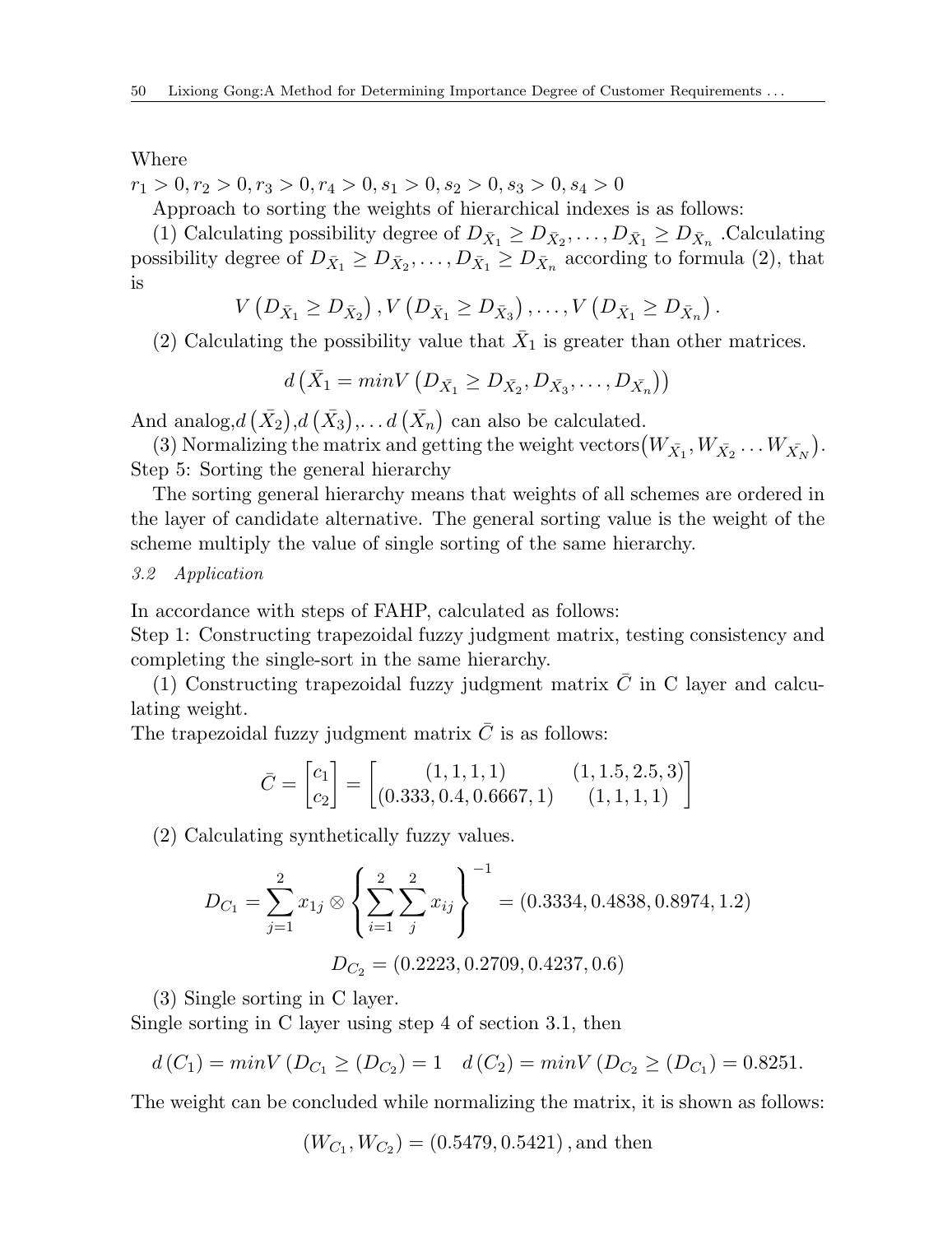Where

$$
r_1>0, r_2>0, r_3>0, r_4>0, s_1>0, s_2>0, s_3>0, s_4>0
$$

Approach to sorting the weights of hierarchical indexes is as follows:

(1) Calculating possibility degree of  $D_{\bar{X}_1} \geq D_{\bar{X}_2}, \ldots, D_{\bar{X}_1} \geq D_{\bar{X}_n}$  Calculating possibility degree of  $D_{\bar{X}_1} \geq D_{\bar{X}_2}, \ldots, D_{\bar{X}_1} \geq D_{\bar{X}_n}$  according to formula (2), that is

$$
V(D_{\bar{X}_1} \geq D_{\bar{X}_2}), V(D_{\bar{X}_1} \geq D_{\bar{X}_3}), \ldots, V(D_{\bar{X}_1} \geq D_{\bar{X}_n}).
$$

(2) Calculating the possibility value that  $\bar{X}_1$  is greater than other matrices.

$$
d\left(\bar{X}_1 = minV\left(D_{\bar{X}_1} \ge D_{\bar{X}_2}, D_{\bar{X}_3}, \dots, D_{\bar{X}_n}\right)\right)
$$

And analog, $d\left(\bar{X}_2\right), d\left(\bar{X}_3\right), \ldots d\left(\bar{X}_n\right)$  can also be calculated.

(3) Normalizing the matrix and getting the weight vectors  $(W_{\bar{X}_1}, W_{\bar{X}_2} \dots W_{\bar{X}_N})$ . Step 5: Sorting the general hierarchy

The sorting general hierarchy means that weights of all schemes are ordered in the layer of candidate alternative. The general sorting value is the weight of the scheme multiply the value of single sorting of the same hierarchy.

# *3.2 Application*

In accordance with steps of FAHP, calculated as follows:

Step 1: Constructing trapezoidal fuzzy judgment matrix, testing consistency and completing the single-sort in the same hierarchy.

(1) Constructing trapezoidal fuzzy judgment matrix  $\overline{C}$  in C layer and calculating weight.

The trapezoidal fuzzy judgment matrix  $\bar{C}$  is as follows:

$$
\bar{C} = \begin{bmatrix} c_1 \\ c_2 \end{bmatrix} = \begin{bmatrix} (1, 1, 1, 1) & (1, 1.5, 2.5, 3) \\ (0.333, 0.4, 0.6667, 1) & (1, 1, 1, 1) \end{bmatrix}
$$

(2) Calculating synthetically fuzzy values.

$$
D_{C_1} = \sum_{j=1}^{2} x_{1j} \otimes \left\{ \sum_{i=1}^{2} \sum_{j}^{2} x_{ij} \right\}^{-1} = (0.3334, 0.4838, 0.8974, 1.2)
$$

$$
D_{C_2} = (0.2223, 0.2709, 0.4237, 0.6)
$$

(3) Single sorting in C layer.

Single sorting in C layer using step 4 of section 3.1, then

$$
d(C_1) = minV (D_{C_1} \ge (D_{C_2}) = 1 \quad d(C_2) = minV (D_{C_2} \ge (D_{C_1}) = 0.8251.
$$

The weight can be concluded while normalizing the matrix, it is shown as follows:

$$
(W_{C_1}, W_{C_2}) = (0.5479, 0.5421)
$$
, and then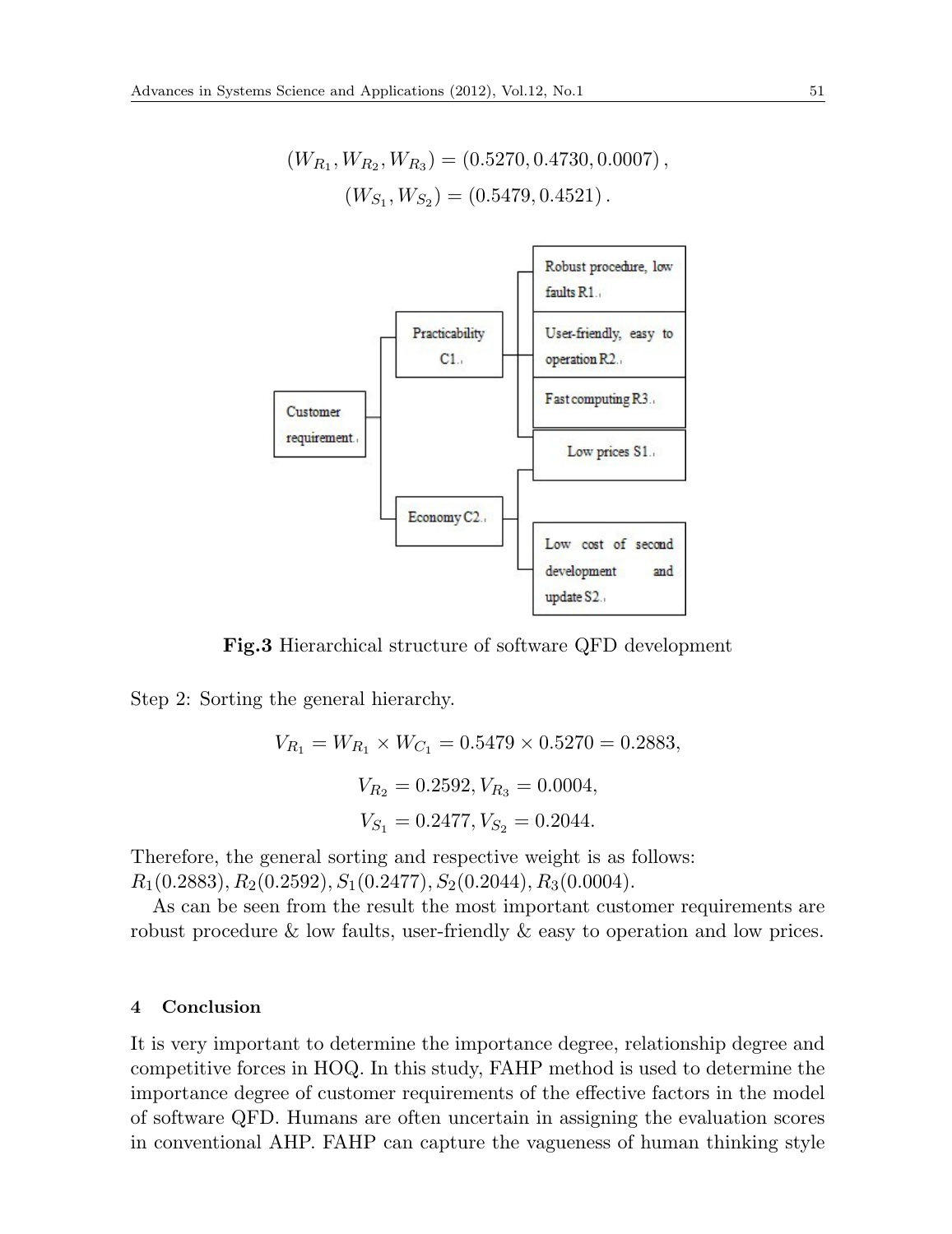$$
(W_{R_1}, W_{R_2}, W_{R_3}) = (0.5270, 0.4730, 0.0007),
$$
  

$$
(W_{S_1}, W_{S_2}) = (0.5479, 0.4521).
$$



**Fig.3** Hierarchical structure of software QFD development

Step 2: Sorting the general hierarchy.

$$
V_{R_1} = W_{R_1} \times W_{C_1} = 0.5479 \times 0.5270 = 0.2883,
$$
  

$$
V_{R_2} = 0.2592, V_{R_3} = 0.0004,
$$
  

$$
V_{S_1} = 0.2477, V_{S_2} = 0.2044.
$$

Therefore, the general sorting and respective weight is as follows: *R*1(0*.*2883)*, R*2(0*.*2592)*, S*1(0*.*2477)*, S*2(0*.*2044)*, R*3(0*.*0004).

As can be seen from the result the most important customer requirements are robust procedure & low faults, user-friendly & easy to operation and low prices.

#### **4 Conclusion**

It is very important to determine the importance degree, relationship degree and competitive forces in HOQ. In this study, FAHP method is used to determine the importance degree of customer requirements of the effective factors in the model of software QFD. Humans are often uncertain in assigning the evaluation scores in conventional AHP. FAHP can capture the vagueness of human thinking style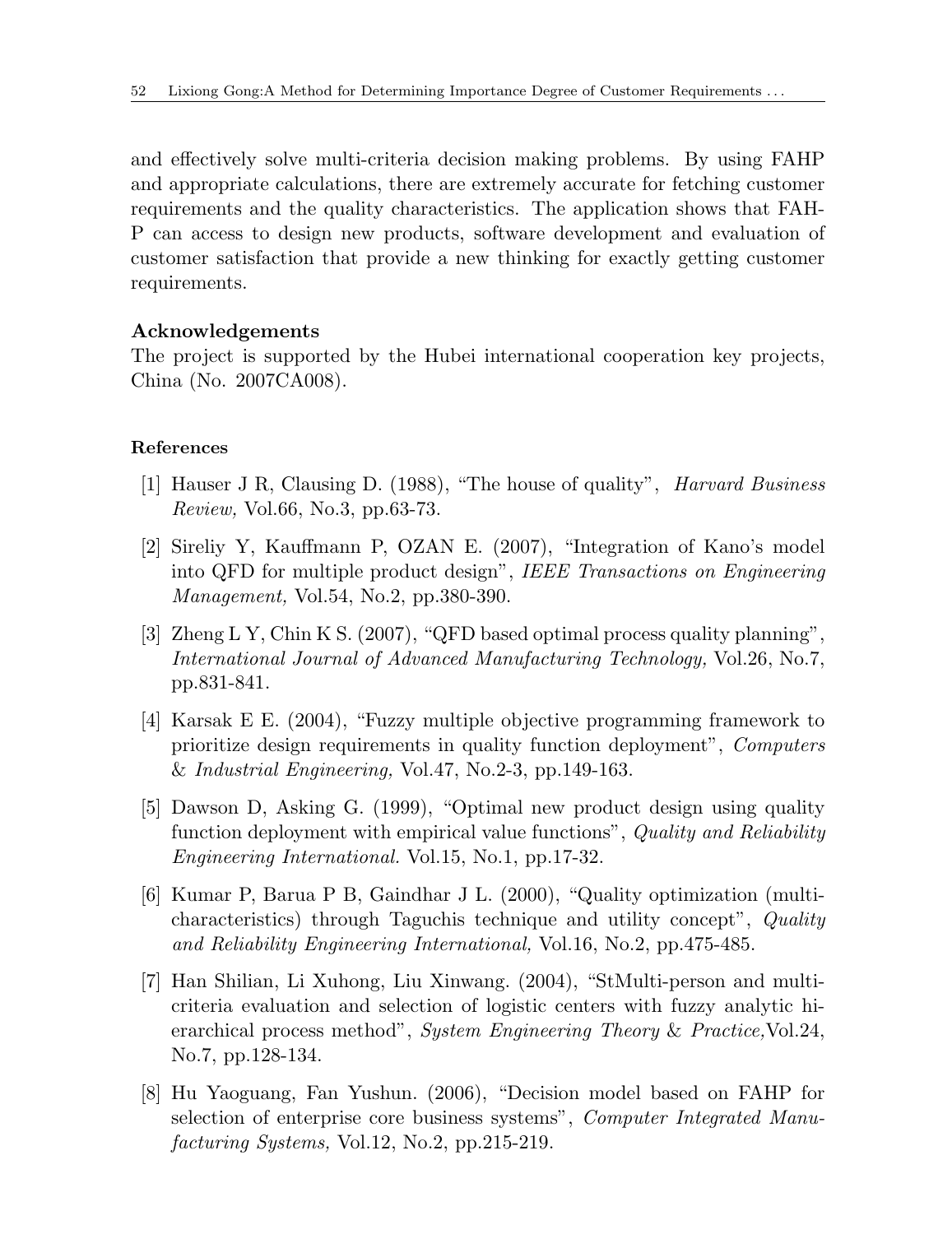and effectively solve multi-criteria decision making problems. By using FAHP and appropriate calculations, there are extremely accurate for fetching customer requirements and the quality characteristics. The application shows that FAH-P can access to design new products, software development and evaluation of customer satisfaction that provide a new thinking for exactly getting customer requirements.

# **Acknowledgements**

The project is supported by the Hubei international cooperation key projects, China (No. 2007CA008).

# **References**

- [1] Hauser J R, Clausing D. (1988), "The house of quality", *Harvard Business Review,* Vol.66, No.3, pp.63-73.
- [2] Sireliy Y, Kauffmann P, OZAN E. (2007), "Integration of Kano's model into QFD for multiple product design", *IEEE Transactions on Engineering Management,* Vol.54, No.2, pp.380-390.
- [3] Zheng L Y, Chin K S. (2007), "QFD based optimal process quality planning", *International Journal of Advanced Manufacturing Technology,* Vol.26, No.7, pp.831-841.
- [4] Karsak E E. (2004), "Fuzzy multiple objective programming framework to prioritize design requirements in quality function deployment", *Computers* & *Industrial Engineering,* Vol.47, No.2-3, pp.149-163.
- [5] Dawson D, Asking G. (1999), "Optimal new product design using quality function deployment with empirical value functions", *Quality and Reliability Engineering International.* Vol.15, No.1, pp.17-32.
- [6] Kumar P, Barua P B, Gaindhar J L. (2000), "Quality optimization (multicharacteristics) through Taguchis technique and utility concept", *Quality and Reliability Engineering International,* Vol.16, No.2, pp.475-485.
- [7] Han Shilian, Li Xuhong, Liu Xinwang. (2004), "StMulti-person and multicriteria evaluation and selection of logistic centers with fuzzy analytic hierarchical process method", *System Engineering Theory* & *Practice,*Vol.24, No.7, pp.128-134.
- [8] Hu Yaoguang, Fan Yushun. (2006), "Decision model based on FAHP for selection of enterprise core business systems", *Computer Integrated Manufacturing Systems,* Vol.12, No.2, pp.215-219.